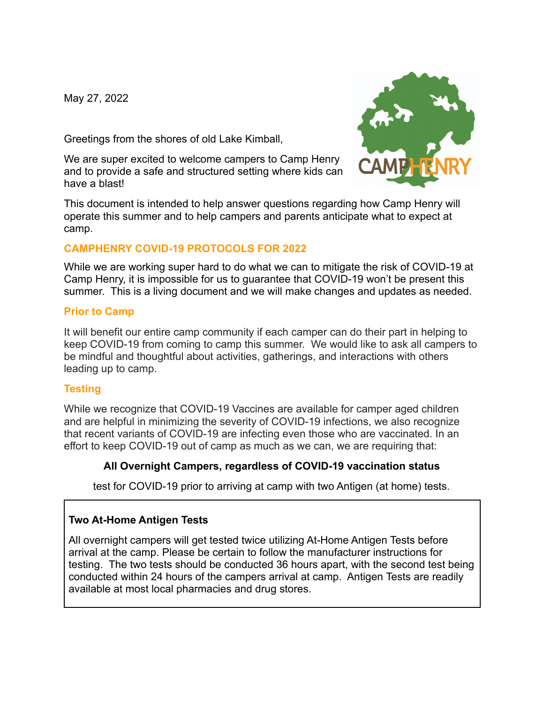May 27, 2022

Greetings from the shores of old Lake Kimball,

We are super excited to welcome campers to Camp Henry and to provide a safe and structured setting where kids can have a blast!



This document is intended to help answer questions regarding how Camp Henry will operate this summer and to help campers and parents anticipate what to expect at camp.

# **CAMPHENRY COVID-19 PROTOCOLS FOR 2022**

While we are working super hard to do what we can to mitigate the risk of COVID-19 at Camp Henry, it is impossible for us to guarantee that COVID-19 won't be present this summer. This is a living document and we will make changes and updates as needed.

#### **Prior to Camp**

It will benefit our entire camp community if each camper can do their part in helping to keep COVID-19 from coming to camp this summer. We would like to ask all campers to be mindful and thoughtful about activities, gatherings, and interactions with others leading up to camp.

# **Testing**

While we recognize that COVID-19 Vaccines are available for camper aged children and are helpful in minimizing the severity of COVID-19 infections, we also recognize that recent variants of COVID-19 are infecting even those who are vaccinated. In an effort to keep COVID-19 out of camp as much as we can, we are requiring that:

# **All Overnight Campers, regardless of COVID-19 vaccination status**

test for COVID-19 prior to arriving at camp with two Antigen (at home) tests.

# **Two At-Home Antigen Tests**

All overnight campers will get tested twice utilizing At-Home Antigen Tests before arrival at the camp. Please be certain to follow the manufacturer instructions for testing. The two tests should be conducted 36 hours apart, with the second test being conducted within 24 hours of the campers arrival at camp. Antigen Tests are readily available at most local pharmacies and drug stores.